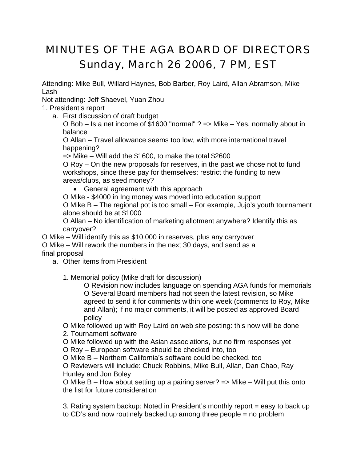## MINUTES OF THE AGA BOARD OF DIRECTORS Sunday, March 26 2006, 7 PM, EST

Attending: Mike Bull, Willard Haynes, Bob Barber, Roy Laird, Allan Abramson, Mike Lash

Not attending: Jeff Shaevel, Yuan Zhou

## 1. President's report

a. First discussion of draft budget

O Bob – Is a net income of \$1600 "normal" ? => Mike – Yes, normally about in balance

O Allan – Travel allowance seems too low, with more international travel happening?

=> Mike – Will add the \$1600, to make the total \$2600

O Roy – On the new proposals for reserves, in the past we chose not to fund workshops, since these pay for themselves: restrict the funding to new areas/clubs, as seed money?

• General agreement with this approach

O Mike - \$4000 in Ing money was moved into education support

O Mike B – The regional pot is too small – For example, Jujo's youth tournament alone should be at \$1000

O Allan – No identification of marketing allotment anywhere? Identify this as carryover?

O Mike – Will identify this as \$10,000 in reserves, plus any carryover

O Mike – Will rework the numbers in the next 30 days, and send as a final proposal

a. Other items from President

1. Memorial policy (Mike draft for discussion)

O Revision now includes language on spending AGA funds for memorials O Several Board members had not seen the latest revision, so Mike agreed to send it for comments within one week (comments to Roy, Mike and Allan); if no major comments, it will be posted as approved Board policy

O Mike followed up with Roy Laird on web site posting: this now will be done

2. Tournament software

O Mike followed up with the Asian associations, but no firm responses yet

O Roy – European software should be checked into, too

O Mike B – Northern California's software could be checked, too

O Reviewers will include: Chuck Robbins, Mike Bull, Allan, Dan Chao, Ray Hunley and Jon Boley

O Mike B – How about setting up a pairing server? => Mike – Will put this onto the list for future consideration

3. Rating system backup: Noted in President's monthly report = easy to back up to CD's and now routinely backed up among three people = no problem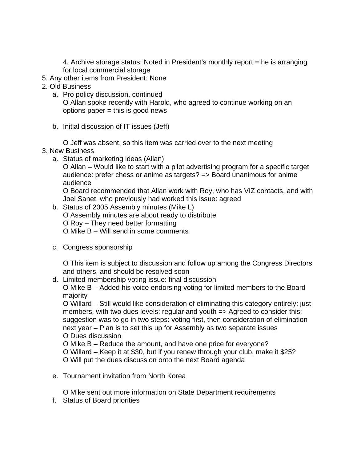4. Archive storage status: Noted in President's monthly report = he is arranging for local commercial storage

- 5. Any other items from President: None
- 2. Old Business
	- a. Pro policy discussion, continued

O Allan spoke recently with Harold, who agreed to continue working on an options paper  $=$  this is good news

b. Initial discussion of IT issues (Jeff)

O Jeff was absent, so this item was carried over to the next meeting

- 3. New Business
	- a. Status of marketing ideas (Allan)

O Allan – Would like to start with a pilot advertising program for a specific target audience: prefer chess or anime as targets? => Board unanimous for anime audience

O Board recommended that Allan work with Roy, who has VIZ contacts, and with Joel Sanet, who previously had worked this issue: agreed

- b. Status of 2005 Assembly minutes (Mike L) O Assembly minutes are about ready to distribute O Roy – They need better formatting O Mike B – Will send in some comments
- c. Congress sponsorship

O This item is subject to discussion and follow up among the Congress Directors and others, and should be resolved soon

d. Limited membership voting issue: final discussion

O Mike B – Added his voice endorsing voting for limited members to the Board majority

O Willard – Still would like consideration of eliminating this category entirely: just members, with two dues levels: regular and youth => Agreed to consider this; suggestion was to go in two steps: voting first, then consideration of elimination next year – Plan is to set this up for Assembly as two separate issues O Dues discussion

O Mike B – Reduce the amount, and have one price for everyone?

O Willard – Keep it at \$30, but if you renew through your club, make it \$25?

O Will put the dues discussion onto the next Board agenda

e. Tournament invitation from North Korea

O Mike sent out more information on State Department requirements

f. Status of Board priorities